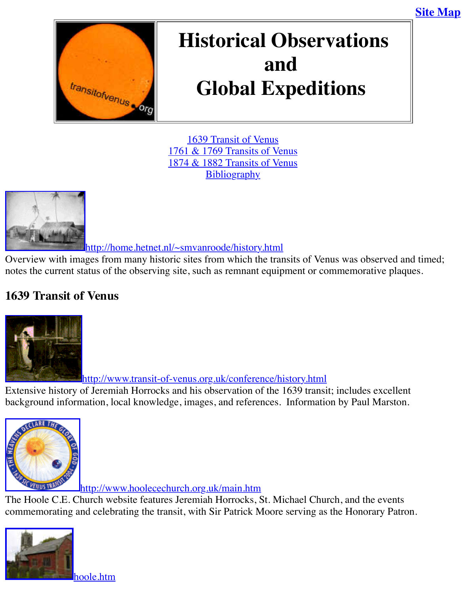

# **Global Expeditions**

1639 Transit of Venus 1761 & 1769 Transits of Venus 1874 & 1882 Transits of Venus **Bibliography** 



http://home.hetnet.[nl/~smvanroode/history.html](http://old.transitofvenus.org/historic.htm#1874/1882)

Overview with images from many historic sites [from which th](http://old.transitofvenus.org/historic.htm#bibliography)e transits of Venus was observed [notes the current status of the observing site, such as remnant equip](http://home.hetnet.nl/~smvanroode/history.html)ment or commemorative pl

# **1639 Transit of Venus**



http://www.transit-of-venus.org.uk/conference/history.html

Extensive history of Jeremiah Horrocks and his observation of the 1639 transit; includes excel [background inform](http://www.uclan.ac.uk/facs/science/physastr/misc/horrock.htm)ation, local knowledge, images, and references. Information by Paul Marst



http://www.hoolecechurch.org.uk/main.htm

The Hoole C.E. Church website features Jeremiah Horrocks, St. Michael Church, and the even [commemorating and celebrating the transit, with Sir Patrick M](http://www.hoolecechurch.org.uk/main.htm)oore serving as the Honorary Patron.

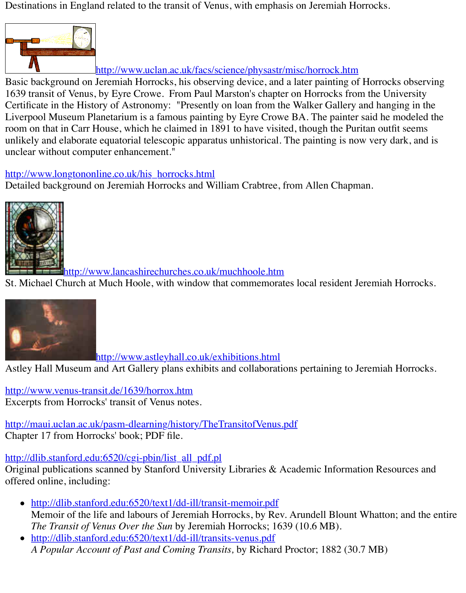Basic background on Jeremiah Horrocks, his observing device, and a later painting of Horrocks observing 1639 transit of Venus, by Eyre Crowe. From Paul Marston's chapter on Horrocks from the Un Certificate in the History of Astronomy: "Presently on loan from the Walker Gallery and hang Liverpool Museum Planetarium is a famous painting by Eyre Crowe BA. The painter said he r room on that in Carr House, which he claimed in 1891 to have visited, though the Puritan outfi unlikely and elaborate equatorial telescopic apparatus unhistorical. The painting is now very d unclear without comp[uter enhancement."](http://www.uclan.ac.uk/facs/science/physastr/misc/horrock.htm)

# http://www.longtononline.co.uk/his\_horrocks.html

Detailed background on Jeremiah Horrocks and William Crabtree, from Allen Chapman.



http://www.lancashirechurches.co.uk/muchhoole.htm

St. Michael Church at Much Hoole, with window that commemorates local resident Jeremiah is



[http://www.astleyhall.co.uk/exhibitions.html](http://www.lancashirechurches.co.uk/muchhoole.htm)

Astley Hall Museum and Art Gallery plans exhibits and collaborations pertaining to Jeremiah

[http://www.venus-tran](http://www.transit-of-venus.org.uk/conference/history.html)sit.de/1639/horrox.htm Excerpts from Horrocks' transit of Venus notes.

http://maui.uclan.ac.uk/pasm-dlearning/history/TheTransitofVenus.pdf Chapter 17 from Horr[ocks' book; PDF file.](http://www.astleyhall.co.uk/exhibitions.html)

# http://dlib.stanford.edu:6520/cgi-pbin/list\_all\_pdf.pl

[Original publications scanned by Stanford Un](http://www.venus-transit.de/1639/horrox.htm)iversity Libraries  $\&$  Academic Information Reso offered online, including:

- [http://dlib.stanford.edu:6520/text1/dd-ill/transit-memoir.pdf](http://maui.uclan.ac.uk/pasm-dlearning/history/TheTransitofVenus.pdf) Memoir of the life and labours of Jeremiah Horrocks, by Rev. Arundell Blount Whatton *The Transit of Venus Over the Sun* by Jeremiah Horrocks; 1639 (10.6 MB).
- [http://dlib.stanford.edu:6520/text1/dd-ill/transi](http://dlib.stanford.edu:6520/cgi-pbin/list_all_pdf.pl)ts-venus.pdf *A Popular Account of Past and Coming Transits,* by Richard Proctor; 1882 (30.7 MB)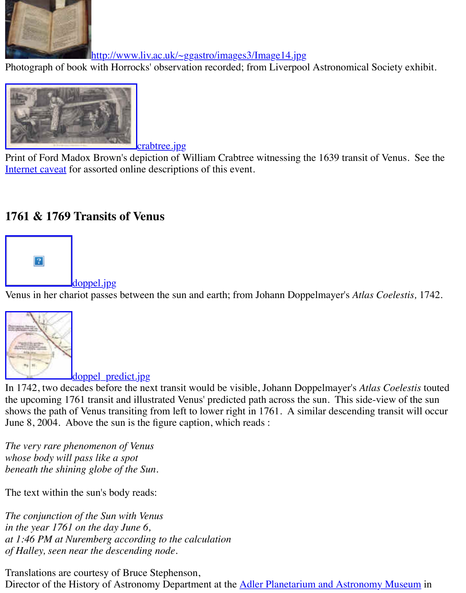

[crabtree.jpg](http://www.liv.ac.uk/~ggastro/images3/Image14.jpg)

Print of Ford Madox Brown's depiction of William Crabtree witnessing the 1639 transit of Ven Internet caveat for assorted online descriptions of this event.

# **[1761 & 1769 Transits of Venus](http://old.transitofvenus.org/crabtree-med.jpg)**



doppel.jpg

Venus in her chariot passes between the sun and earth; from Johann Doppelmayer's *Atlas Coel* 



doppel predict.jpg

In 1742, two decades before the next transit would be visible, Johann Doppelmayer's *Atlas Co* [the upcoming 1761 transit and illus](http://old.transitofvenus.org/doppel_predict.jpg)trated Venus' predicted path across the sun. This side-view shows the path of Venus transiting from left to lower right in 1761. A similar descending trans June 8, 2004. Above the sun is the figure caption, which reads :

*The very rare phenomenon of Venus whose body will pass like a spot beneath the shining globe of the Sun.*

The text within the sun's body reads:

*The conjunction of the Sun with Venus in the year 1761 on the day June 6, at 1:46 PM at Nuremberg according to the calculation of Halley, seen near the descending node.*

Translations are courtesy of Bruce Stephenson, Director of the History of Astronomy Department at the Adler Planetarium and Astronomy Museum in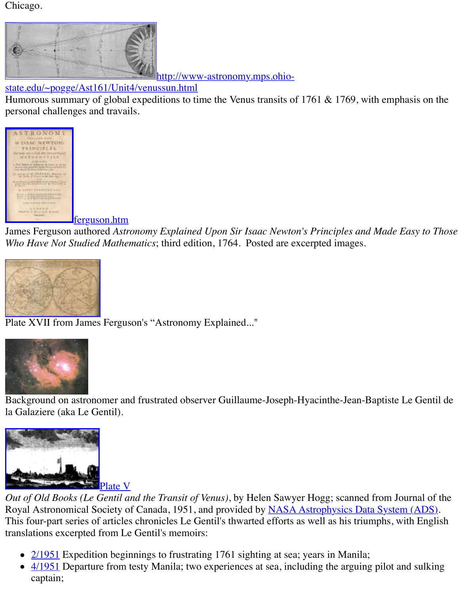#### http://www-astronomy.mps.ohiostate.edu/~pogge/Ast161/Unit4/venussun.html

Humorous summary of global expeditions to time the Venus transits of 1761  $&$  1769, with empty [personal challenges and travails.](http://www-astronomy.mps.ohio-state.edu/~pogge/Ast161/Unit4/venussun.html)



ferguson.htm

James Ferguson authored Astronomy Explained Upon Sir Isaac Newton's Principles and Made *[Who Have Not Studied Mathe](http://old.transitofvenus.org/ferguson.htm)matics*; third edition, 1764. Posted are excerpted images.



Plate XVII from James Ferguson's "Astronomy Explained..."



[Background on astrono](http://old.transitofvenus.org/ferguson-platexvii.JPG)mer and frustrated observer Guillaume-Joseph-Hyacinthe-Jean-Baptiste la Galaziere (aka Le Gentil).



Out of Old Books (Le Gentil and the Transit of Venus), by Helen Sawyer Hogg; scanned from . Royal Astronomical Society of Canada, 1951, and provided by **NASA Astrophysics Data Syst** [This four-part series of articles](http://adsbit.harvard.edu/cgi-bin/nph-iarticle_query?bibcode=1951JRASC..45..127S&db_key=AST&page_ind=2&plate_select=NO&data_type=GIF&type=SCREEN_GIF) chronicles Le Gentil's thwarted efforts as well as his triumphs, translations excerpted from Le Gentil's memoirs:

- 2/1951 Expedition beginnings to frustrating 1761 sighting at sea; years in Manila;
- $\bullet$  4/1951 Departure from testy Manila; two experiences at sea, including the arguing pilot captain;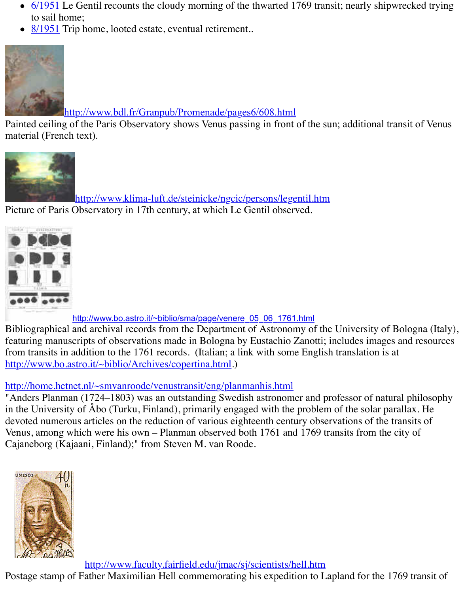

http://www.bdl.fr/Granpub/Promenade/pages6/608.html

Painted ceiling of the Paris Observatory shows Venus passing in front of the sun; additional tra material (French text).



[http://www.klima-luft.de/steinicke/ngcic/persons/lege](http://www.bdl.fr/Granpub/Promenade/pages6/608.html)ntil.htm Picture of Paris Observatory in 17th century, at which Le Gentil observed.

http://www.bo.astro.it/~biblio/sma/page/venere\_05\_06\_1761.html

[Bibliographical and archival records from the Department of Astronomy of](http://www.bo.astro.it/~biblio/sma/page/venere_05_06_1761.html) the University of I featuring manuscripts of observations made in Bologna by Eustachio Zanotti; includes images from transits in addition to the 1761 records. (Italian; a link with some English translation is a http://www.bo.astro.it/~biblio/Archives/copertina.html.)

## http://home.hetnet.nl/~smvanroode/venustransit/eng/planmanhis.html

"Anders Planman (1724–1803) was an outstanding Swedish astronomer and professor of natur in the University of Åbo (Turku, Finland), primarily engaged with the problem of the solar parallax. devoted numerous articles on the reduction of various eighteenth century observations of the tr Venus, among which were his own - Planman observed both 1761 and 1769 transits from the or [Cajaneborg \(Kajaani, Finland\);" from Steven M. van R](http://www.bo.astro.it/~biblio/Archives/copertina.html)oode.



http://www.faculty.fairfield.edu/jmac/sj/scientists/hell.htm

[Postage stamp of Father Maximilian Hell commemorating his expedition to L](http://www.faculty.fairfield.edu/jmac/sj/scientists/hell.htm)apland for the 17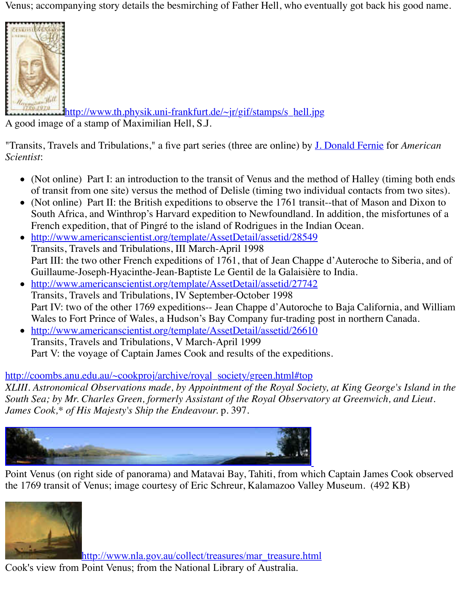

http://www.th.physik.uni-frankfurt.de/~jr/gif/stamps/s\_hell.jpg [A good image](http://www.th.physik.uni-frankfurt.de/~jr/gif/stamps/s_hell.jpg) of a stamp of Maximilian Hell, S.J.

"Transits, Travels and Tribulations," a five part series (three are online) by **J. Donald Fernie** for *Scientist*:

- (Not online) Part I: an introduction to the transit of Venus and the method of Halley (tin of trans[it from one site\) versus the method of Delisle \(timing two indiv](http://old.transitofvenus.org/hell.jpg)idual contacts from
- (Not online) Part II: the British expeditions to observe the 1761 transit--that of Mason a South Africa, and Winthrop's Harvard expedition to Newfoundland. In addition, the mis French expedition, that of Pingré to the island of Rodrigues in the In[dian Ocean.](http://www.sigmaxi.org/amsci/other/Fernie/Fernie.html)
- http://www.americanscientist.org/template/AssetDetail/assetid/28549 Transits, Travels and Tribulations, III March-April 1998 Part III: the two other French expeditions of 1761, that of Jean Chappe d'Auteroche to S Guillaume-Joseph-Hyacinthe-Jean-Baptiste Le Gentil de la Galaisière to India.
- http://www.americanscientist.org/template/AssetDetail/assetid/27742 Transits, Travels and Tribulations, IV September-October 1998 Part IV: two of the other 1769 expeditions-- Jean Chappe d'Autoroche to Baja California [Wales to Fort Prince of Wales, a Hudson's Bay Company fur-trading p](http://www.americanscientist.org/template/AssetDetail/assetid/28549)ost in northern Ca
- http://www.americanscientist.org/template/AssetDetail/assetid/26610 Transits, Travels and Tribulations, V March-April 1999 [Part V: the voyage of Captain James Cook and results of the expeditio](http://www.americanscientist.org/template/AssetDetail/assetid/27742)ns.

## http://coombs.anu.edu.au/~cookproj/archive/royal\_society/green.html#top

*XLIII. Astronomical Observations made, by Appointment of the Royal Society, at King George's Island in the South Sea; by Mr. Charles Green, formerly Assistant of the Royal Observatory at Greenwich, d James [Cook,\\* of His Majesty's Ship the Endeavour.](http://www.americanscientist.org/template/AssetDetail/assetid/26610)* p. 397*.*



Point Venus (on right side of panorama) and Matavai Bay, Tahiti, from which Captain James C the 1769 transit of Venus; image courtesy of Eric Schreur, Kalamazoo Valley Museum. (492 K



http://www.nla.gov.au/collect/treasures/mar\_treasure.html

Cook's view from Point Venus; from the National Library of Australia.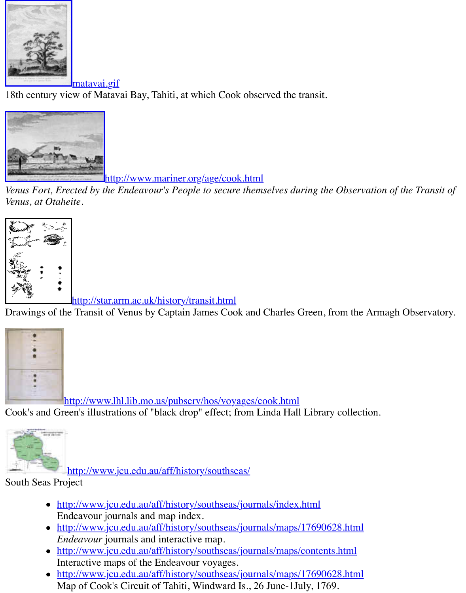

[18th century view of Matav](http://old.transitofvenus.org/matavai.gif)ai Bay, Tahiti, at which Cook observed the transit.



http://www.mariner.org/age/cook.html

*[Venus Fort, Erected by the Endeavour](http://www.mariner.org/age/images/lg_venus.jpg)'[s People to secure thems](http://www.mariner.org/age/images/lg_venus.jpg)elves during the Observation of Venus, at Otaheite*.



http://star.arm.ac.uk/history/transit.html

Drawings of the Transit of Venus by Captain James Cook and Charles Green, from the Armagh



http://www.lhl.lib.mo.us/pubserv/hos/voyages/cook.html

[Cook's and Green's illustrations of "black drop" effect; from Linda Hall](http://www.lhl.lib.mo.us/pubserv/hos/voyages/cook.html) Library collection.



http://www.jcu.edu.au/aff/history/southseas/

# South Seas Project

- http://www.jcu.edu.au/aff/history/southseas/journals/index.html [En](http://www.jcu.edu.au/aff/history/southseas/journals/maps/18_circuit.html)deavour journals and map index.
- http://www.jcu.edu.au/aff/history/southseas/journals/maps/17690628.html *Endeavour* journals and interactive map.
- ht[tp://www.jcu.edu.au/aff/history/southseas/jou](http://www.jcu.edu.au/aff/history/southseas/)rnals/maps/contents.html Interactive maps of the Endeavour voyages.
- http://www.jcu.edu.au/aff/history/southseas/journals/maps/17690628.html [Map of Cook's Circuit of Tahiti, Windward Is., 26 June-1July, 1](http://www.jcu.edu.au/aff/history/southseas/journals/maps/17690628.html)769.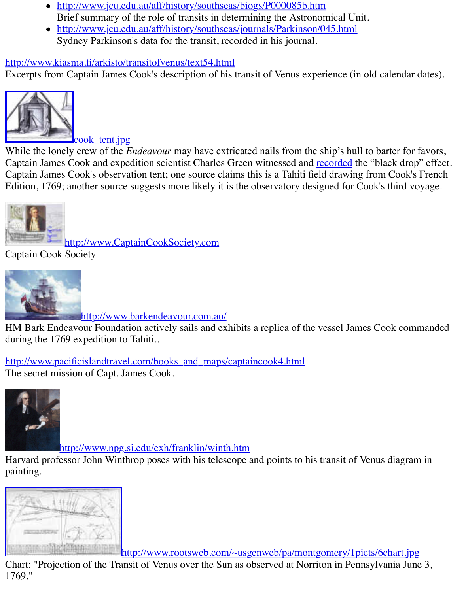

[cook\\_tent.jpg](http://www.kiasma.fi/arkisto/transitofvenus/text54.html)

While the lonely crew of the *Endeavour* may have extricated nails from the ship's hull to barte Captain James Cook and expedition scientist Charles Green witnessed and recorded the "black Captain James Cook's observation tent; one source claims this is a Tahiti field drawing from C [Edition, 1769; another source s](http://old.transitofvenus.org/Cook_tent.jpg)uggests more likely it is the observatory designed for Cook's th



http://www.CaptainCookSociety.com

Captain Cook Society



http://www.barkendeavour.com.au/

[HM Bark Endeavour Foundation actively sails and e](http://www.captaincooksociety.com/)xhibits a replica of the vessel James Cook during the 1769 expedition to Tahiti..

[http://www.pacificislandtravel.com/books\\_and\\_maps/](http://www.barkendeavour.com.au/)captaincook4.html The secret mission of Capt. James Cook.



[http://www.npg.si.edu/exh/franklin/winth.htm](http://www.pacificislandtravel.com/books_and_maps/captaincook4.html)

Harvard professor John Winthrop poses with his telescope and points to his transit of Venus di painting.



http://www.rootsweb.com/~usgenweb/pa/montgomery/1picts/6cha

Chart: "Projection of the Transit of Venus over the Sun as observed at Norriton in Pennsylvani 1769."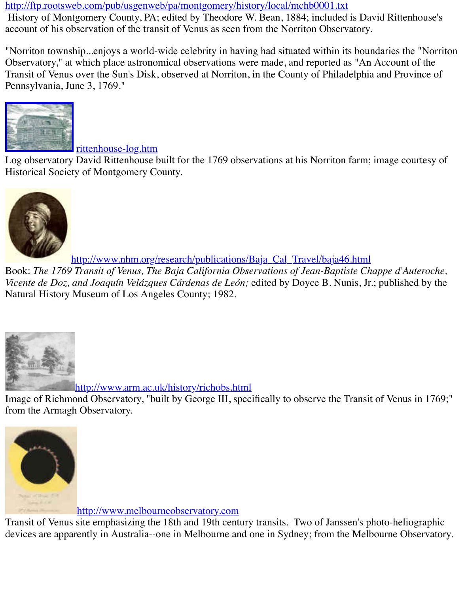[Pennsylvania, June 3, 1769."](http://ftp.rootsweb.com/pub/usgenweb/pa/montgomery/history/local/mchb0001.txt)



rittenhouse-log.htm

Log observatory David Rittenhouse built for the 1769 observations at his Norriton farm; image Historical Society of Montgomery County.



http://www.nhm.org/research/publications/Baja\_Cal\_Travel/baja46.html

Book: [The 1769 Transit of Venus, The Baja California Observations of Jean-Baptiste Ch](http://www.nhm.org/research/publications/Baja_Cal_Travel/baja46.html)appe Vicente de Doz, and Joaquín Velázques Cárdenas de León; edited by Doyce B. Nunis, Jr.; publ Natural History Museum of Los Angeles County; 1982.



http://www.arm.ac.uk/history/richobs.html

Image of Richmond Observatory, "built by George III, specifically to observe the Transit of Ve [from the Armagh Observatory.](http://www.arm.ac.uk/history/richobs.html)



http://www.melbourneobservatory.com

[Transit of Venus site emphasizing the 18th and 19th cent](http://www.melbourneobservatory.com/)ury transits. Two of Janssen's photo-h devices are apparently in Australia--one in Melbourne and one in Sydney; from the Melbourne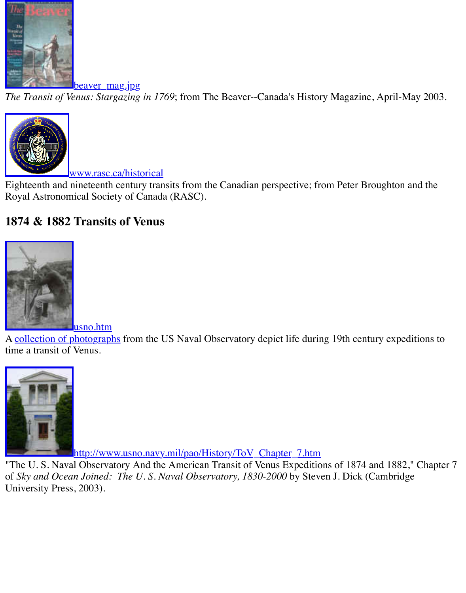

*[The Transit of Venus: Stargazing](http://old.transitofvenus.org/beaver_mag.jpg) in 1769*; from The Beaver--Canada's History Magazine, Apri



www.rasc.ca/historical

Eighteenth and nineteenth century transits from the Canadian perspective; from Peter Broughte Royal Astronomical Society of Canada (RASC).

# **[1874 & 1882 Transits of Venus](http://www.rasc.ca/historical)**



[A collection of photograph](http://old.transitofvenus.org/usno.htm)s from the US Naval Observatory depict life during 19th century ex time a transit of Venus.



http://www.usno.navy.mil/pao/History/ToV\_Chapter\_7.htm

"The U.S. [Naval Observatory And the American Transit of Venus Expeditio](http://www.usno.navy.mil/pao/History/ToV_Chapter_7.htm)ns of 1874 and 18 of *Sky and Ocean Joined: The U.S. Naval Observatory, 1830-2000* by Steven J. Dick (Cambr University Press, 2003).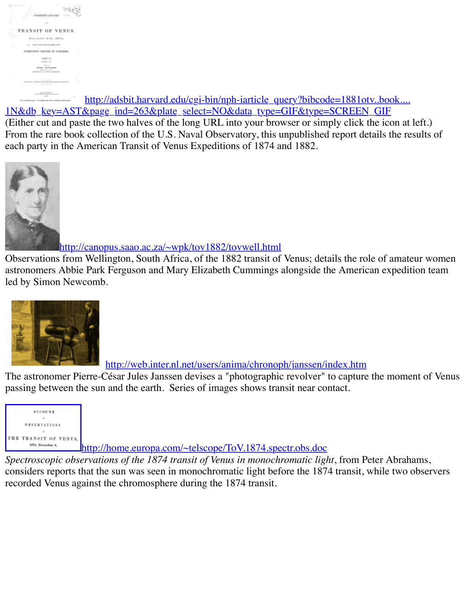

TALIFIED http://adsbit.harvard.edu/cgi-bin/nph-iarticle\_query?bibcode=1881otv..boo [1N&db\\_key=AST&](http://adsbit.harvard.edu/cgi-bin/nph-iarticle_query?bibcode=1881otv..book....1N&db_key=AST&page_ind=263&plate_select=NO&data_type=GIF&type=SCREEN_GIF)page\_ind=263&plate\_select=NO&data\_type=GIF&type=SCREEN\_GIF (Either cut and paste the two halves of the long URL into your browser or simply click the icon From the rare book collection of the U.S. Naval Observatory, this unpublished report details the results of each party in the American Transit of Venus Expeditions of 1874 and 1882.



http://canopus.saao.ac.za/~wpk/tov1882/tovwell.html

Observations from Wellington, South Africa, of the 1882 transit of Venus; details the role of an astronomers Abbie Park Ferguson and Mary Elizabeth Cummings alongside the American exp led by Simon Newcomb.



http://web.inter.nl.net/users/anima/chronoph/janssen/index.htm

The astronomer Pierre-César Jules Janssen devises a "photographic revolver" to capture the moment [passing between the sun and the earth. Series of images shows transit near contact.](http://web.inter.nl.net/users/anima/chronoph/janssen/index.htm)



http://home.europa.com/~telscope/ToV.1874.spectr.obs.doc

Spectroscopic observations of the 1874 transit of Venus in monochromatic light, from Peter Ab considers reports that the sun was seen in monochromatic light before the 1874 transit, while t [recorded Venus against the chromosphere during the 1874 transit.](http://home.europa.com/~telscope/ToV.1874.spectr.obs.doc)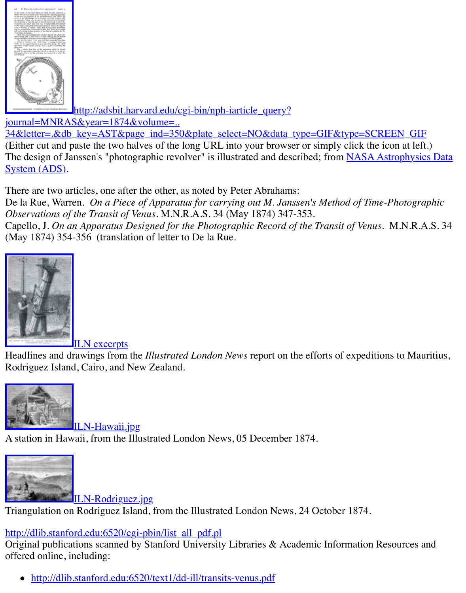

http://adsbit.harvard.edu/cgi-bin/nph-iarticle\_query?

[journal=MNRAS](http://adsbit.harvard.edu/cgi-bin/nph-build_image?bg=%23FFFFFF&/seri/MNRAS/0034/600/0000348.000&db_key=257&bits=4&res=100)&year=1874&volume=..

34&letter=.&db\_key=AST&page\_ind=350&plate\_select=NO&data\_type=GIF&type=SCREE (Either cut and paste the two halves of the long URL into your browser or simply click the icon The design of Janssen's "photographic revolver" is illustrated and described; from NASA Astro System (ADS).

There are two articles, one after the other, as noted by Peter Abrahams:

De la Rue, Warren. *[On a Piece of Apparatus for carrying out M. Janssen's Method of Time-Photograp](http://adsbit.harvard.edu/cgi-bin/nph-iarticle_query?journal=MNRAS&year=1874&volume=..34&letter=.&db_key=AST&page_ind=350&plate_select=NO&data_type=GIF&type=SCREEN_GIF)hic Carry Observations of the Transit of Venus*. M.N.R.A.S. 34 (May 1874) 347-353. Capello, J. On an Apparatus Designed for the Photographic Record of the Transit of Venus. N. [\(May 1874\) 354-356 \(translation of letter to De la Rue.](http://adswww.harvard.edu/)



ILN excerpts

[Headlines and drawings from](http://old.transitofvenus.org/ILN/excerpts.htm) the *Illustrated London News* report on the efforts of expeditions Rodriguez Island, Cairo, and New Zealand.



ILN-Hawaii.jpg A station in Hawaii, from the Illustrated London News, 05 December 1874.



ILN-Rodriguez.jpg [Triangulation on Rodriguez Islan](http://old.transitofvenus.org/ILN/ILN-Hawaii.jpg)d, from the Illustrated London News, 24 October 1874.

http://dlib.stanford.edu:6520/cgi-pbin/list\_all\_pdf.pl

[Original publications scanned by Sta](http://old.transitofvenus.org/ILN/ILN-Rodriguez.jpg)nford University Libraries & Academic Information Reso offered online, including:

• http://dlib.stanford.edu:6520/text1/dd-ill/transits-venus.pdf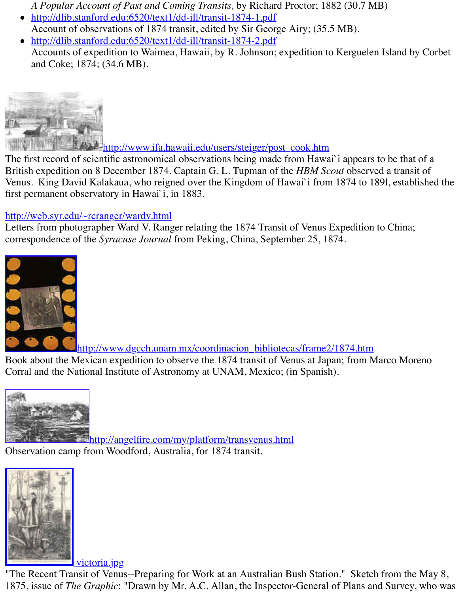

http://www.ifa.hawaii.edu/users/steiger/post\_cook.htm

The first record of scientific astronomical observations being made from Hawai`i appears to be British expedition on 8 December 1874. Captain G. L. Tupman of the *HBM Scout* observed a t [Venus. King David Kalakaua, who reigned over the Kingdom of Hawai`i from](http://www.ifa.hawaii.edu/users/steiger/post_cook.htm) 1874 to 1891, e first permanent observatory in Hawai`i, in 1883.

#### http://web.syr.edu/~rcranger/wardv.html

Letters from photographer Ward V. Ranger relating the 1874 Transit of Venus Expedition to Cl correspondence of the *Syracuse Journal* from Peking, China, September 25, 1874.



http://www.dgcch.unam.mx/coordinacion\_bibliotecas/frame2/1874.htm [Book about the Mexican expedition to observe the 1874 transit of Venus at Japan; from M](http://www.dgcch.unam.mx/coordinacion_bibliotecas/frame2/1874.htm)arco

Corral and the National Institute of Astronomy at UNAM, Mexico; (in Spanish).



http://angelfire.com/my/platform/transvenus.html Observation camp from Woodford, Australia, for 1874 transit.



victoria.jpg

["The Recent Transit of Venus](http://old.transitofvenus.org/victoria.jpg)--Preparing for Work at an Australian Bush Station." Sketch from 1875, issue of *The Graphic*: "Drawn by Mr. A.C. Allan, the Inspector-General of Plans and Su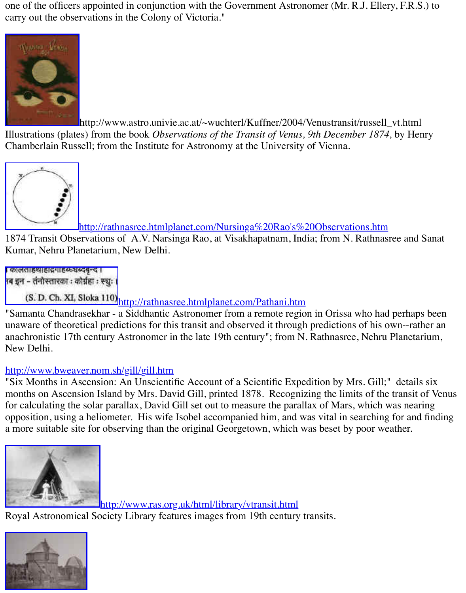

http://www.astro.univie.ac.at/~wuchterl/Kuffner/2004/Venustransit/russell\_v [Illustrations \(plate](http://www.astro.univie.ac.at/~wuchterl/Kuffner/2004/Venustransit/VENUS_Transit1874/russell_vt_1874.jpg)s) from the book *Observations of the Transit of Venus*, 9th December 1874, by

Chamberlain Russell; from the Institute for Astronomy at the University of Vienna.



http://rathnasree.htmlplanet.com/Nursinga%20Rao's%20Observations.htm

1874 Transit Observations of A.V. Narsinga Rao, at Visakhapatnam, India; from N. Rathnasre Kumar, Nehru Planetarium, New Delhi.



(S. D. Ch. XI, Sloka 110) [http://rathnasree.htmlplanet.com/Pathani.htm](http://rathnasree.htmlplanet.com/Nursinga%20Rao)

"Samanta Chandrasekhar - a Siddhantic Astronomer from a remote region in Orissa who had p unaware of theoretical predictions for this transit and observed it through predictions of his ownanachronistic 17th century Astronomer in the late 19th century"; from N. Rathnasree, Nehru P New Delhi.

# http://www.bweaver.nom.sh/gill/gill.htm

["Six Months in Ascension: An Unscientific Account of a Scientific Expe](http://rathnasree.htmlplanet.com/Pathani.htm)dition by Mrs. Gill;" months on Ascension Island by Mrs. David Gill, printed 1878. Recognizing the limits of the transit of the transit of the transit of the transit of the transit of the transit of the transit of the transit of the transit of for calculating the solar parallax, David Gill set out to measure the parallax of Mars, which was opposition, using a heliometer. His wife Isobel accompanied him, and was vital in searching f a more suitable site for observing than the original Georgetown, which was beset by poor weath



http://www.ras.org.uk/html/library/vtransit.html

Royal Astronomical Society Library features images from 19th century transits.

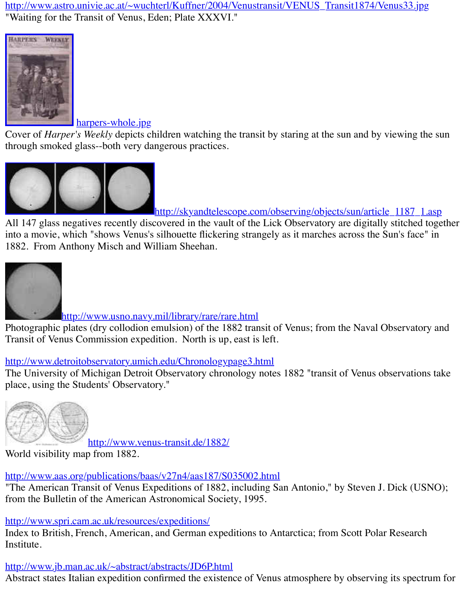

#### harpers-whole.jpg

Cover of *Harper's Weekly* depicts children watching the transit by staring at the sun and by vie [through smoked](http://old.transitofvenus.org/harpers-whole.jpg) glass--both very dangerous practices.



http://skyandtelescope.com/observing/objects/sun/article

All 147 glass negatives recently discovered in the vault of the Lick Observatory are digitally stitched to into a movie, which "shows Venus's silhouette flickering strangely as it marches across the Sun [1882. From Anthony Misch and William Sheehan.](http://skyandtelescope.com/observing/objects/sun/article_1187_1.asp)



http://www.usno.navy.mil/library/rare/rare.html

Photographic plates (dry collodion emulsion) of the 1882 transit of Venus; from the Naval Obs Transit of Venus Commission expedition. North is up, east is left.

## [http://www.detroitobservatory.umich.edu/Chronologypage3.h](http://www.usno.navy.mil/library/rare/rare.html)tml

The University of Michigan Detroit Observatory chronology notes 1882 "transit of Venus observations take Theori place, using the Students' Observatory."



[http://www.venus-transit.de/1882/](http://www.detroitobservatory.umich.edu/Chronologypage3.html)

World visibility map from 1882.

http://www.aas.org/publications/baas/v27n4/aas187/S035002.html

["The American Transit of Venus Expeditions of 1882,](http://www.venus-transit.de/1882/) including San Antonio," by Steven J. D. from the Bulletin of the American Astronomical Society, 1995.

http://www.spri.cam.ac.uk/resources/expeditions/

Index to British, French, American, and German expeditions to Antarctica; from Scott Polar R Institute.

[http://www.jb.man.ac.uk/~abstract/abstracts/JD6P.html](http://www.aas.org/publications/baas/v27n4/aas187/S035002.html)

Abstract states Italian expedition confirmed the existence of Venus atmosphere by observing it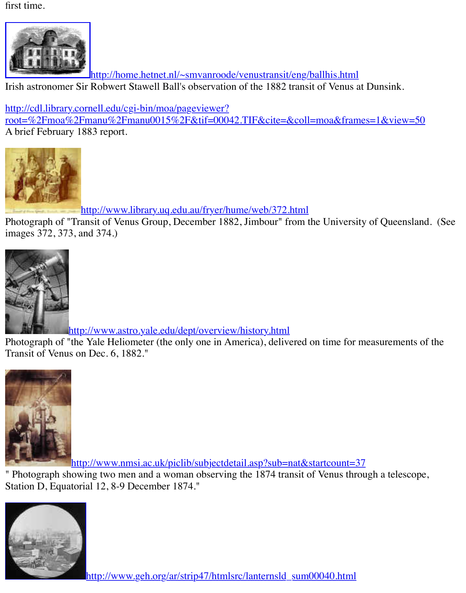Irish astronomer Sir Robwert Stawell Ball's observation of the 1882 transit of Venus at Dunsink.

http://cdl.library.cornell.edu/cgi-bin/moa/pageviewer?

[root=%2Fmoa%2Fmanu%2Fmanu0015%2F&tif=00042.TIF&cite=&coll=moa&fram](http://home.hetnet.nl/~smvanroode/venustransit/eng/ballhis.html)es=1&vi A brief February 1883 report.



[http://www.library.uq.edu.au/fryer/hume/web/372.html](http://cdl.library.cornell.edu/cgi-bin/moa/pageviewer?root=%2Fmoa%2Fmanu%2Fmanu0015%2F&tif=00042.TIF&cite=&coll=moa&frames=1&view=50)

Photograph of "Transit of Venus Group, December 1882, Jimbour" from the University of Que [images 372, 373, and 374.\)](http://www.library.uq.edu.au/fryer/hume/web/372.html)



http://www.astro.yale.edu/dept/overview/history.html

Photograph of "the Yale Heliometer (the only one in America), delivered on time for measurer Transit of Venus on Dec. 6, 1882."



http://www.nmsi.ac.uk/piclib/subjectdetail.asp?sub=nat&startcount=37

[" Photograph showing two men and a woman observing the 1874 transit of Venus throu](http://www.nmsi.ac.uk/piclib/subjectdetail.asp?sub=nat&startcount=37)gh a te Station D, Equatorial 12, 8-9 December 1874."

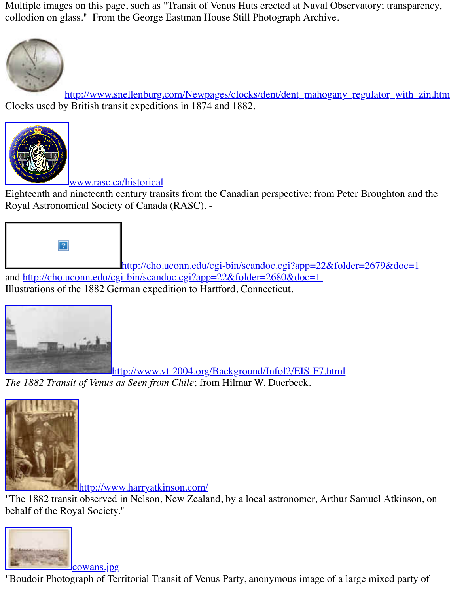http://www.snellenburg.com/Newpages/clocks/dent/dent\_mahogany\_regulator\_ Clocks used by British transit expeditions in 1874 and 1882.



### [www.rasc.ca/historical](http://www.snellenburg.com/Newpages/clocks/dent/dent_mahogany_regulator_with_zin.htm)

Eighteenth and nineteenth century transits from the Canadian perspective; from Peter Broughton [Royal Astronomical Society of Canada](http://www.rasc.ca/historical) (RASC). -



http://cho.uconn.edu/cgi-bin/scandoc.cgi?app=22&folder=2679&d and http://cho.uconn.edu/cgi-bin/scandoc.cgi?app=22&folder=2680&doc=1 Illustrations of the 1882 German expedition to Hartford, Connecticut.



http://www.vt-2004.org/Background/Infol2/EIS-F7.html *[The 1882 Transit of Venus as Seen from Chile](http://www.vt-2004.org/Background/Infol2/EIS-F7.html)*; from Hilmar W. Duerbeck.



http://www.harryatkinson.com/

["The 1882 transit observed in Nelson, New Zeala](http://www.harryatkinson.com/)nd, by a local astronomer, Arthur Samuel Atl behalf of the Royal Society."



cowans.jpg "Boudoir Photograph of Territorial Transit of Venus Party, anonymous image of a large mixed